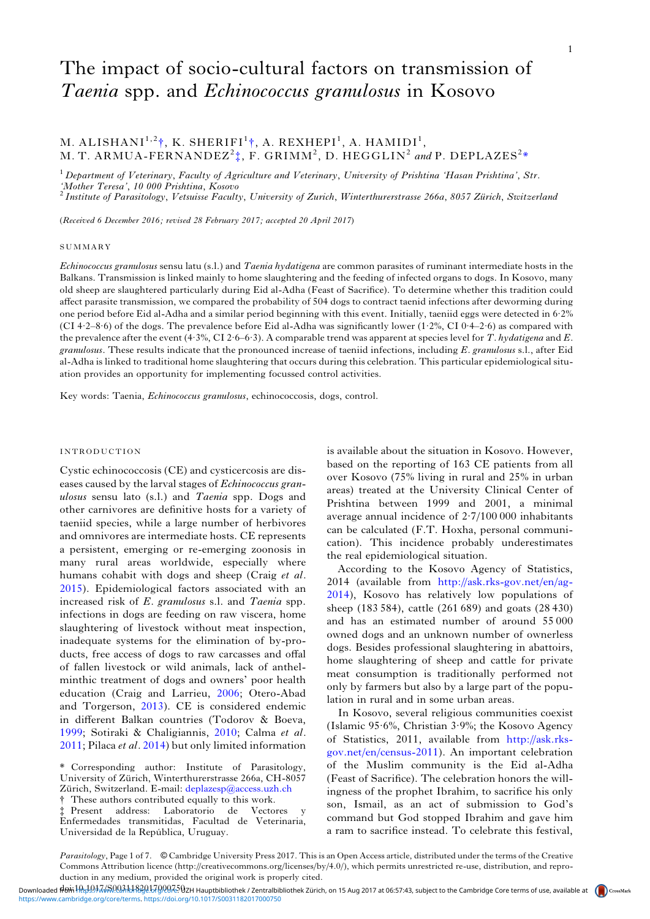# The impact of socio-cultural factors on transmission of Taenia spp. and Echinococcus granulosus in Kosovo

1

## M. ALISHANI $^{1,2}$ †, K. SHERIFI $^{1}$ †, A. REXHEPI $^{1}$ , A. HAMIDI $^{1}$ , M. T. ARMUA-FERNANDEZ<sup>2</sup> $\ddagger$ , F. GRIMM<sup>2</sup>, D. HEGGLIN<sup>2</sup> and P. DEPLAZES<sup>2\*</sup>

 $1$  Department of Veterinary, Faculty of Agriculture and Veterinary, University of Prishtina 'Hasan Prishtina', Str. 'Mother Teresa', 10 000 Prishtina, Kosovo<br><sup>2</sup> Institute of Parasitology, Vetsuisse Faculty, University of Zurich, Winterthurerstrasse 266a, 8057 Zürich, Switzerland

(Received 6 December 2016; revised 28 February 2017; accepted 20 April 2017)

#### **SUMMARY**

Echinococcus granulosus sensu latu (s.l.) and Taenia hydatigena are common parasites of ruminant intermediate hosts in the Balkans. Transmission is linked mainly to home slaughtering and the feeding of infected organs to dogs. In Kosovo, many old sheep are slaughtered particularly during Eid al-Adha (Feast of Sacrifice). To determine whether this tradition could affect parasite transmission, we compared the probability of 504 dogs to contract taenid infections after deworming during one period before Eid al-Adha and a similar period beginning with this event. Initially, taeniid eggs were detected in 6·2% (CI 4·2–8·6) of the dogs. The prevalence before Eid al-Adha was significantly lower (1·2%, CI 0·4–2·6) as compared with the prevalence after the event (4·3%, CI 2·6–6·3). A comparable trend was apparent at species level for T. hydatigena and E. granulosus. These results indicate that the pronounced increase of taeniid infections, including E. granulosus s.l., after Eid al-Adha is linked to traditional home slaughtering that occurs during this celebration. This particular epidemiological situation provides an opportunity for implementing focussed control activities.

Key words: Taenia, Echinococcus granulosus, echinococcosis, dogs, control.

## INTRODUCTION

Cystic echinococcosis (CE) and cysticercosis are diseases caused by the larval stages of Echinococcus granulosus sensu lato (s.l.) and Taenia spp. Dogs and other carnivores are definitive hosts for a variety of taeniid species, while a large number of herbivores and omnivores are intermediate hosts. CE represents a persistent, emerging or re-emerging zoonosis in many rural areas worldwide, especially where humans cohabit with dogs and sheep (Craig et al. [2015\)](#page-5-0). Epidemiological factors associated with an increased risk of E. granulosus s.l. and Taenia spp. infections in dogs are feeding on raw viscera, home slaughtering of livestock without meat inspection, inadequate systems for the elimination of by-products, free access of dogs to raw carcasses and offal of fallen livestock or wild animals, lack of anthelminthic treatment of dogs and owners' poor health education (Craig and Larrieu, [2006](#page-5-0); Otero-Abad and Torgerson, [2013\)](#page-5-0). CE is considered endemic in different Balkan countries (Todorov & Boeva, [1999;](#page-6-0) Sotiraki & Chaligiannis, [2010](#page-6-0); Calma et al. [2011;](#page-5-0) Pilaca et al. [2014\)](#page-5-0) but only limited information

 $*$  Present address: Laboratorio de Vectores Enfermedades transmitidas, Facultad de Veterinaria, Universidad de la República, Uruguay.

is available about the situation in Kosovo. However, based on the reporting of 163 CE patients from all over Kosovo (75% living in rural and 25% in urban areas) treated at the University Clinical Center of Prishtina between 1999 and 2001, a minimal average annual incidence of 2·7/100 000 inhabitants can be calculated (F.T. Hoxha, personal communication). This incidence probably underestimates the real epidemiological situation.

According to the Kosovo Agency of Statistics, 2014 (available from [http://ask.rks-gov.net/en/ag-](http://ask.rks-gov.net/en/ag-2014)[2014](http://ask.rks-gov.net/en/ag-2014)), Kosovo has relatively low populations of sheep (183 584), cattle (261 689) and goats (28 430) and has an estimated number of around 55 000 owned dogs and an unknown number of ownerless dogs. Besides professional slaughtering in abattoirs, home slaughtering of sheep and cattle for private meat consumption is traditionally performed not only by farmers but also by a large part of the population in rural and in some urban areas.

In Kosovo, several religious communities coexist (Islamic 95·6%, Christian 3·9%; the Kosovo Agency of Statistics, 2011, available from [http://ask.rks](http://ask.rks-gov.net/en/census-2011)[gov.net/en/census-2011\)](http://ask.rks-gov.net/en/census-2011). An important celebration of the Muslim community is the Eid al-Adha (Feast of Sacrifice). The celebration honors the willingness of the prophet Ibrahim, to sacrifice his only son, Ismail, as an act of submission to God's command but God stopped Ibrahim and gave him a ram to sacrifice instead. To celebrate this festival,

Parasitology, Page 1 of 7. © Cambridge University Press 2017. This is an Open Access article, distributed under the terms of the Creative Commons Attribution licence (http://creativecommons.org/licenses/by/4.0/), which permits unrestricted re-use, distribution, and reproduction in any medium, provided the original work is properly cited.

These authors contributed equally to this work. \* Corresponding author: Institute of Parasitology, University of Zürich, Winterthurerstrasse 266a, CH-8057 Zürich, Switzerland. E-mail: [deplazesp@access.uzh.ch](mailto:deplazesp@access.uzh.ch)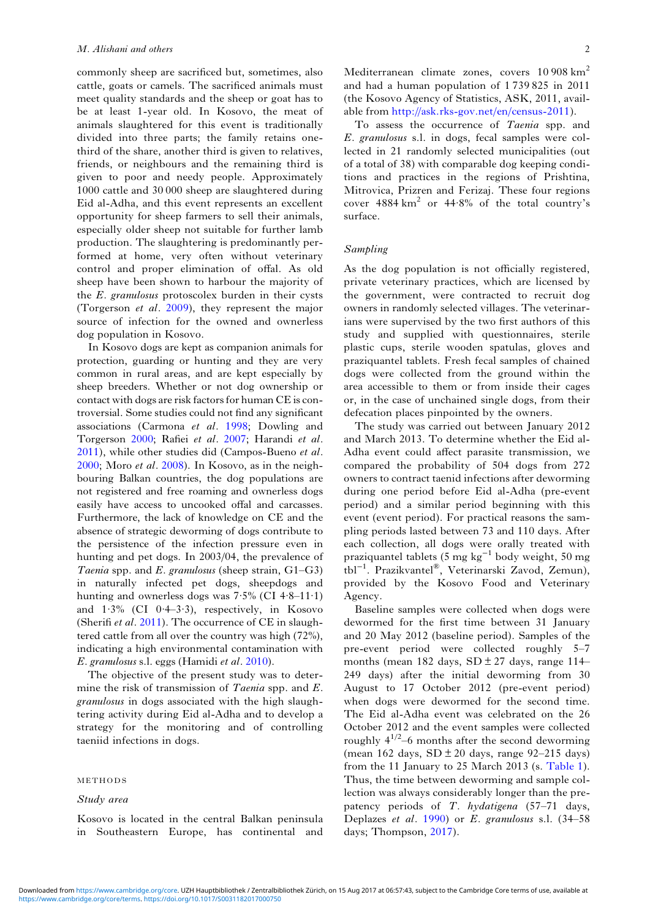commonly sheep are sacrificed but, sometimes, also cattle, goats or camels. The sacrificed animals must meet quality standards and the sheep or goat has to be at least 1-year old. In Kosovo, the meat of animals slaughtered for this event is traditionally divided into three parts; the family retains onethird of the share, another third is given to relatives, friends, or neighbours and the remaining third is given to poor and needy people. Approximately 1000 cattle and 30 000 sheep are slaughtered during Eid al-Adha, and this event represents an excellent opportunity for sheep farmers to sell their animals, especially older sheep not suitable for further lamb production. The slaughtering is predominantly performed at home, very often without veterinary control and proper elimination of offal. As old sheep have been shown to harbour the majority of the E. granulosus protoscolex burden in their cysts (Torgerson et al. [2009\)](#page-6-0), they represent the major source of infection for the owned and ownerless dog population in Kosovo.

In Kosovo dogs are kept as companion animals for protection, guarding or hunting and they are very common in rural areas, and are kept especially by sheep breeders. Whether or not dog ownership or contact with dogs are risk factors for human CE is controversial. Some studies could not find any significant associations (Carmona et al. [1998;](#page-5-0) Dowling and Torgerson [2000](#page-5-0); Rafiei et al. [2007](#page-6-0); Harandi et al. [2011\)](#page-5-0), while other studies did (Campos-Bueno et al. [2000;](#page-5-0) Moro et al. [2008](#page-5-0)). In Kosovo, as in the neighbouring Balkan countries, the dog populations are not registered and free roaming and ownerless dogs easily have access to uncooked offal and carcasses. Furthermore, the lack of knowledge on CE and the absence of strategic deworming of dogs contribute to the persistence of the infection pressure even in hunting and pet dogs. In 2003/04, the prevalence of *Taenia* spp. and *E. granulosus* (sheep strain,  $G1-G3$ ) in naturally infected pet dogs, sheepdogs and hunting and ownerless dogs was  $7.5\%$  (CI  $4.8-11.1$ ) and  $1.3\%$  (CI 0.4-3.3), respectively, in Kosovo (Sherifi et al. [2011](#page-6-0)). The occurrence of CE in slaughtered cattle from all over the country was high (72%), indicating a high environmental contamination with E. granulosus s.l. eggs (Hamidi et al. [2010](#page-5-0)).

The objective of the present study was to determine the risk of transmission of *Taenia* spp. and *E*. granulosus in dogs associated with the high slaughtering activity during Eid al-Adha and to develop a strategy for the monitoring and of controlling taeniid infections in dogs.

## METHODS

## Study area

Kosovo is located in the central Balkan peninsula in Southeastern Europe, has continental and

Mediterranean climate zones, covers 10 908 km<sup>2</sup> and had a human population of 1 739 825 in 2011 (the Kosovo Agency of Statistics, ASK, 2011, available from <http://ask.rks-gov.net/en/census-2011>).

To assess the occurrence of Taenia spp. and E. granulosus s.l. in dogs, fecal samples were collected in 21 randomly selected municipalities (out of a total of 38) with comparable dog keeping conditions and practices in the regions of Prishtina, Mitrovica, Prizren and Ferizaj. These four regions cover  $4884 \text{ km}^2$  or  $44.8\%$  of the total country's surface.

#### Sampling

As the dog population is not officially registered, private veterinary practices, which are licensed by the government, were contracted to recruit dog owners in randomly selected villages. The veterinarians were supervised by the two first authors of this study and supplied with questionnaires, sterile plastic cups, sterile wooden spatulas, gloves and praziquantel tablets. Fresh fecal samples of chained dogs were collected from the ground within the area accessible to them or from inside their cages or, in the case of unchained single dogs, from their defecation places pinpointed by the owners.

The study was carried out between January 2012 and March 2013. To determine whether the Eid al-Adha event could affect parasite transmission, we compared the probability of 504 dogs from 272 owners to contract taenid infections after deworming during one period before Eid al-Adha (pre-event period) and a similar period beginning with this event (event period). For practical reasons the sampling periods lasted between 73 and 110 days. After each collection, all dogs were orally treated with praziquantel tablets (5 mg kg−<sup>1</sup> body weight, 50 mg tbl−<sup>1</sup> . Prazikvantel®, Veterinarski Zavod, Zemun), provided by the Kosovo Food and Veterinary Agency.

Baseline samples were collected when dogs were dewormed for the first time between 31 January and 20 May 2012 (baseline period). Samples of the pre-event period were collected roughly 5–7 months (mean 182 days,  $SD \pm 27$  days, range 114– 249 days) after the initial deworming from 30 August to 17 October 2012 (pre-event period) when dogs were dewormed for the second time. The Eid al-Adha event was celebrated on the 26 October 2012 and the event samples were collected roughly  $4^{1/2}$ –6 months after the second deworming (mean 162 days,  $SD \pm 20$  days, range 92–215 days) from the 11 January to 25 March 2013 (s. [Table 1](#page-2-0)). Thus, the time between deworming and sample collection was always considerably longer than the prepatency periods of T. hydatigena (57–71 days, Deplazes et al. [1990](#page-5-0)) or E. granulosus s.l. (34–58 days; Thompson, [2017\)](#page-6-0).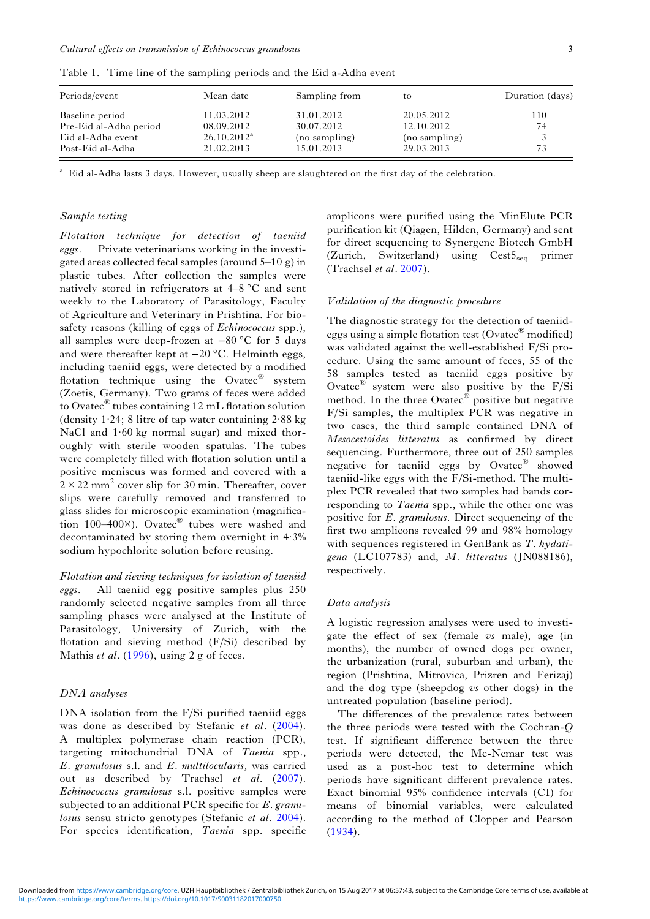| Periods/event          | Mean date      | Sampling from | to            | Duration (days) |
|------------------------|----------------|---------------|---------------|-----------------|
| Baseline period        | 11.03.2012     | 31.01.2012    | 20.05.2012    | 110             |
| Pre-Eid al-Adha period | 08.09.2012     | 30.07.2012    | 12.10.2012    | 74              |
| Eid al-Adha event      | $26.10.2012^a$ | (no sampling) | (no sampling) |                 |
| Post-Eid al-Adha       | 21.02.2013     | 15.01.2013    | 29.03.2013    | 73              |

<span id="page-2-0"></span>Table 1. Time line of the sampling periods and the Eid a-Adha event

<sup>a</sup> Eid al-Adha lasts 3 days. However, usually sheep are slaughtered on the first day of the celebration.

## Sample testing

Flotation technique for detection of taeniid eggs. Private veterinarians working in the investigated areas collected fecal samples (around 5–10 g) in plastic tubes. After collection the samples were natively stored in refrigerators at 4–8 °C and sent weekly to the Laboratory of Parasitology, Faculty of Agriculture and Veterinary in Prishtina. For biosafety reasons (killing of eggs of *Echinococcus* spp.), all samples were deep-frozen at −80 °C for 5 days and were thereafter kept at −20 °C. Helminth eggs, including taeniid eggs, were detected by a modified flotation technique using the Ovatec<sup>®</sup> system (Zoetis, Germany). Two grams of feces were added to Ovatec® tubes containing 12 mL flotation solution (density 1.24; 8 litre of tap water containing  $2.88$  kg NaCl and 1.60 kg normal sugar) and mixed thoroughly with sterile wooden spatulas. The tubes were completely filled with flotation solution until a positive meniscus was formed and covered with a  $2 \times 22$  mm<sup>2</sup> cover slip for 30 min. Thereafter, cover slips were carefully removed and transferred to glass slides for microscopic examination (magnification 100–400 $\times$ ). Ovatec<sup>®</sup> tubes were washed and decontaminated by storing them overnight in 4·3% sodium hypochlorite solution before reusing.

Flotation and sieving techniques for isolation of taeniid eggs. All taeniid egg positive samples plus 250 randomly selected negative samples from all three sampling phases were analysed at the Institute of Parasitology, University of Zurich, with the flotation and sieving method (F/Si) described by Mathis *et al.* [\(1996](#page-5-0)), using 2 g of feces.

## DNA analyses

DNA isolation from the F/Si purified taeniid eggs was done as described by Stefanic et al. [\(2004\)](#page-6-0). A multiplex polymerase chain reaction (PCR), targeting mitochondrial DNA of Taenia spp., E. granulosus s.l. and E. multilocularis, was carried out as described by Trachsel et al. [\(2007\)](#page-6-0). Echinococcus granulosus s.l. positive samples were subjected to an additional PCR specific for E. granu-losus sensu stricto genotypes (Stefanic et al. [2004\)](#page-6-0). For species identification, Taenia spp. specific amplicons were purified using the MinElute PCR purification kit (Qiagen, Hilden, Germany) and sent for direct sequencing to Synergene Biotech GmbH (Zurich, Switzerland) using Cest5seq primer (Trachsel et al. [2007\)](#page-6-0).

#### Validation of the diagnostic procedure

The diagnostic strategy for the detection of taeniideggs using a simple flotation test (Ovatec $^{\circledR}$  modified) was validated against the well-established F/Si procedure. Using the same amount of feces, 55 of the 58 samples tested as taeniid eggs positive by Ovatec® system were also positive by the F/Si method. In the three Ovatec $^{\circledR}$  positive but negative F/Si samples, the multiplex PCR was negative in two cases, the third sample contained DNA of Mesocestoides litteratus as confirmed by direct sequencing. Furthermore, three out of 250 samples negative for taeniid eggs by Ovatec® showed taeniid-like eggs with the F/Si-method. The multiplex PCR revealed that two samples had bands corresponding to *Taenia* spp., while the other one was positive for E. granulosus. Direct sequencing of the first two amplicons revealed 99 and 98% homology with sequences registered in GenBank as T. hydatigena (LC107783) and,  $M.$  litteratus (JN088186), respectively.

## Data analysis

A logistic regression analyses were used to investigate the effect of sex (female  $vs$  male), age (in months), the number of owned dogs per owner, the urbanization (rural, suburban and urban), the region (Prishtina, Mitrovica, Prizren and Ferizaj) and the dog type (sheepdog vs other dogs) in the untreated population (baseline period).

The differences of the prevalence rates between the three periods were tested with the Cochran-Q test. If significant difference between the three periods were detected, the Mc-Nemar test was used as a post-hoc test to determine which periods have significant different prevalence rates. Exact binomial 95% confidence intervals (CI) for means of binomial variables, were calculated according to the method of Clopper and Pearson ([1934\)](#page-5-0).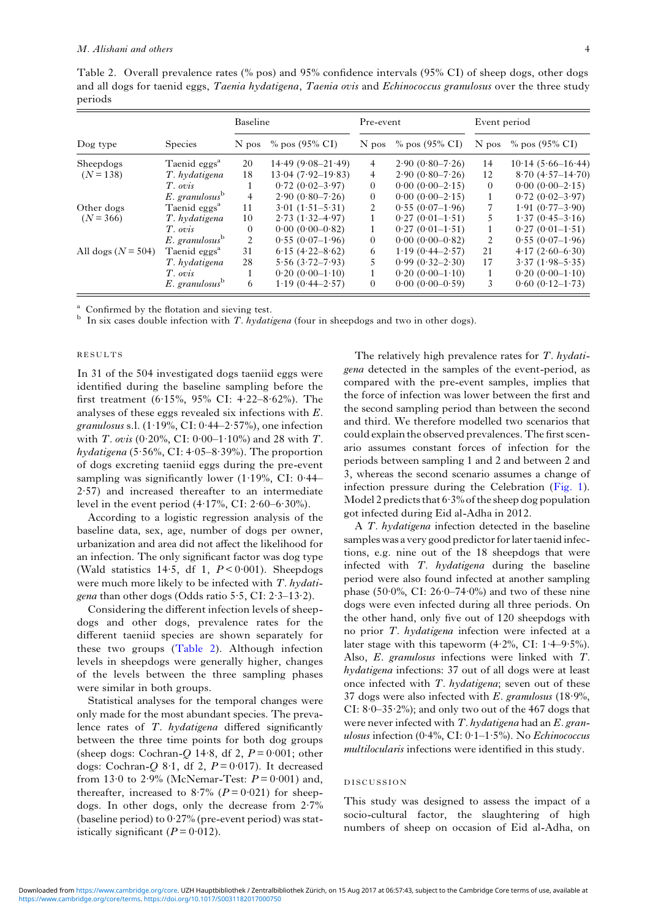<span id="page-3-0"></span>Table 2. Overall prevalence rates (% pos) and 95% confidence intervals (95% CI) of sheep dogs, other dogs and all dogs for taenid eggs, Taenia hydatigena, Taenia ovis and Echinococcus granulosus over the three study periods

|                           |                              | Baseline       |                        | Pre-event      |                     | Event period |                      |
|---------------------------|------------------------------|----------------|------------------------|----------------|---------------------|--------------|----------------------|
| Dog type                  | <b>Species</b>               | N pos          | $\%$ pos (95% CI)      | N pos          | $\%$ pos (95% CI)   | N pos        | $\%$ pos (95% CI)    |
| Sheepdogs<br>$(N = 138)$  | Taenid eggs <sup>a</sup>     | 20             | $14.49(9.08-21.49)$    | 4              | $2.90(0.80 - 7.26)$ | 14           | $10.14(5.66-16.44)$  |
|                           | T. hydatigena                | 18             | $13.04(7.92 - 19.83)$  | 4              | $2.90(0.80 - 7.26)$ | 12           | $8.70(4.57-14.70)$   |
|                           | T. ovis                      |                | $0.72(0.02 - 3.97)$    | $\Omega$       | $0.00(0.00-2.15)$   | $\theta$     | $0.00(0.00-2.15)$    |
|                           | $E.$ granulosus $b$          | 4              | $2.90(0.80 - 7.26)$    | 0              | $0.00(0.00-2.15)$   |              | $0.72(0.02 - 3.97)$  |
| Other dogs<br>$(N = 366)$ | Taenid eggs <sup>a</sup>     | 11             | $3.01 (1.51 - 5.31)$   | $\mathfrak{D}$ | $0.55(0.07-1.96)$   | 7            | $1.91 (0.77 - 3.90)$ |
|                           | T. hydatigena                | 10             | $2.73(1.32 - 4.97)$    |                | $0.27(0.01-1.51)$   | 5            | $1.37(0.45 - 3.16)$  |
|                           | T. ovis                      | $\Omega$       | $0.00(0.00-0.82)$      |                | $0.27(0.01-1.51)$   |              | $0.27(0.01-1.51)$    |
|                           | $E.$ granulosus $\mathbf{B}$ | $\overline{c}$ | $0.55(0.07-1.96)$      | $\Omega$       | $0.00(0.00-0.82)$   | 2            | $0.55(0.07-1.96)$    |
| All dogs ( $N = 504$ )    | Taenid eggs <sup>a</sup>     | 31             | $6.15(4.22 - 8.62)$    | 6              | $1.19(0.44 - 2.57)$ | 21           | $4.17(2.60-6.30)$    |
|                           | T. hydatigena                | 28             | $5.56$ $(3.72 - 7.93)$ |                | $0.99(0.32 - 2.30)$ | 17           | $3.37(1.98 - 5.35)$  |
|                           | T. ovis                      |                | $0.20(0.00-1.10)$      |                | $0.20(0.00-1.10)$   | 1            | $0.20(0.00-1.10)$    |
|                           | $E.$ granulosus $b$          | 6              | $1.19(0.44 - 2.57)$    | $\theta$       | $0.00(0.00-0.59)$   | 3            | $0.60(0.12 - 1.73)$  |

<sup>a</sup> Confirmed by the flotation and sieving test.<br><sup>b</sup> In six cases double infection with T. hydatigena (four in sheepdogs and two in other dogs).

#### RESULTS

In 31 of the 504 investigated dogs taeniid eggs were identified during the baseline sampling before the first treatment (6·15%, 95% CI: 4·22–8·62%). The analyses of these eggs revealed six infections with E. granulosus s.l.  $(1.19\%, \text{CI}: 0.44-2.57\%)$ , one infection with *T. ovis* (0.20%, CI: 0.00–1.10%) and 28 with *T*. hydatigena  $(5.56\%, CI: 4.05–8.39\%)$ . The proportion of dogs excreting taeniid eggs during the pre-event sampling was significantly lower  $(1.19\%, \text{ CI: } 0.44-$ 2·57) and increased thereafter to an intermediate level in the event period  $(4.17\%, \text{ CI: } 2.60 - 6.30\%).$ 

According to a logistic regression analysis of the baseline data, sex, age, number of dogs per owner, urbanization and area did not affect the likelihood for an infection. The only significant factor was dog type (Wald statistics 14.5, df 1,  $P < 0.001$ ). Sheepdogs were much more likely to be infected with T. hydati*gena* than other dogs (Odds ratio  $5.5$ , CI:  $2.3-13.2$ ).

Considering the different infection levels of sheepdogs and other dogs, prevalence rates for the different taeniid species are shown separately for these two groups (Table 2). Although infection levels in sheepdogs were generally higher, changes of the levels between the three sampling phases were similar in both groups.

Statistical analyses for the temporal changes were only made for the most abundant species. The prevalence rates of T. hydatigena differed significantly between the three time points for both dog groups (sheep dogs: Cochran-Q 14.8, df 2,  $P = 0.001$ ; other dogs: Cochran-Q 8.1, df 2,  $P = 0.017$ ). It decreased from 13 $\cdot$ 0 to 2 $\cdot$ 9% (McNemar-Test:  $P = 0.001$ ) and, thereafter, increased to 8.7% ( $P = 0.021$ ) for sheepdogs. In other dogs, only the decrease from 2·7% (baseline period) to 0·27% (pre-event period) was statistically significant  $(P = 0.012)$ .

The relatively high prevalence rates for T. hydatigena detected in the samples of the event-period, as compared with the pre-event samples, implies that the force of infection was lower between the first and the second sampling period than between the second and third. We therefore modelled two scenarios that could explain the observed prevalences. The first scenario assumes constant forces of infection for the periods between sampling 1 and 2 and between 2 and 3, whereas the second scenario assumes a change of infection pressure during the Celebration ([Fig. 1](#page-4-0)). Model 2 predicts that 6·3% of the sheep dog population got infected during Eid al-Adha in 2012.

A T. hydatigena infection detected in the baseline samples was a very good predictor for later taenid infections, e.g. nine out of the 18 sheepdogs that were infected with  $T.$  *hydatigena* during the baseline period were also found infected at another sampling phase (50 $\cdot$ 0%, CI: 26 $\cdot$ 0 $-74\cdot$ 0%) and two of these nine dogs were even infected during all three periods. On the other hand, only five out of 120 sheepdogs with no prior T. *hydatigena* infection were infected at a later stage with this tapeworm  $(4.2\%, \text{ CI: } 1.4-9.5\%).$ Also, E. granulosus infections were linked with T. hydatigena infections: 37 out of all dogs were at least once infected with  $T.$  hydatigena; seven out of these 37 dogs were also infected with  $E$ . granulosus (18.9%, CI:  $8.0-35.2\%$ ; and only two out of the 467 dogs that were never infected with  $T.$  hydatigena had an  $E.$  granulosus infection  $(0.4\%$ , CI:  $0.1-1.5\%)$ . No *Echinococcus* multilocularis infections were identified in this study.

## DISCUSSION

This study was designed to assess the impact of a socio-cultural factor, the slaughtering of high numbers of sheep on occasion of Eid al-Adha, on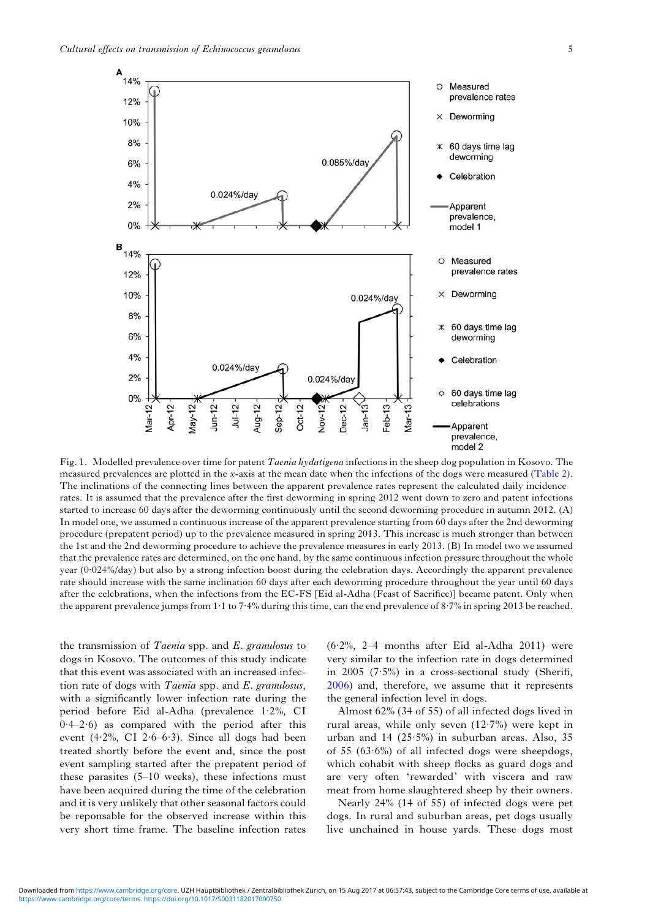<span id="page-4-0"></span>

Fig. 1. Modelled prevalence over time for patent *Taenia hydatigena* infections in the sheep dog population in Kosovo. The measured prevalences are plotted in the x-axis at the mean date when the infections of the dogs were measured [\(Table 2](#page-3-0)). The inclinations of the connecting lines between the apparent prevalence rates represent the calculated daily incidence rates. It is assumed that the prevalence after the first deworming in spring 2012 went down to zero and patent infections started to increase 60 days after the deworming continuously until the second deworming procedure in autumn 2012. (A) In model one, we assumed a continuous increase of the apparent prevalence starting from 60 days after the 2nd deworming procedure (prepatent period) up to the prevalence measured in spring 2013. This increase is much stronger than between the 1st and the 2nd deworming procedure to achieve the prevalence measures in early 2013. (B) In model two we assumed that the prevalence rates are determined, on the one hand, by the same continuous infection pressure throughout the whole year (0·024%/day) but also by a strong infection boost during the celebration days. Accordingly the apparent prevalence rate should increase with the same inclination 60 days after each deworming procedure throughout the year until 60 days after the celebrations, when the infections from the EC-FS [Eid al-Adha (Feast of Sacrifice)] became patent. Only when the apparent prevalence jumps from 1·1 to 7·4% during this time, can the end prevalence of 8·7% in spring 2013 be reached.

the transmission of Taenia spp. and E. granulosus to dogs in Kosovo. The outcomes of this study indicate that this event was associated with an increased infection rate of dogs with Taenia spp. and E. granulosus, with a significantly lower infection rate during the period before Eid al-Adha (prevalence 1·2%, CI  $0.4-2.6$ ) as compared with the period after this event  $(4.2\%, \text{ CI } 2.6-6.3)$ . Since all dogs had been treated shortly before the event and, since the post event sampling started after the prepatent period of these parasites (5–10 weeks), these infections must have been acquired during the time of the celebration and it is very unlikely that other seasonal factors could be reponsable for the observed increase within this very short time frame. The baseline infection rates

(6·2%, 2–4 months after Eid al-Adha 2011) were very similar to the infection rate in dogs determined in 2005 (7·5%) in a cross-sectional study (Sherifi, [2006\)](#page-6-0) and, therefore, we assume that it represents the general infection level in dogs.

Almost 62% (34 of 55) of all infected dogs lived in rural areas, while only seven (12·7%) were kept in urban and 14 (25·5%) in suburban areas. Also, 35 of 55  $(63.6\%)$  of all infected dogs were sheepdogs, which cohabit with sheep flocks as guard dogs and are very often 'rewarded' with viscera and raw meat from home slaughtered sheep by their owners.

Nearly 24% (14 of 55) of infected dogs were pet dogs. In rural and suburban areas, pet dogs usually live unchained in house yards. These dogs most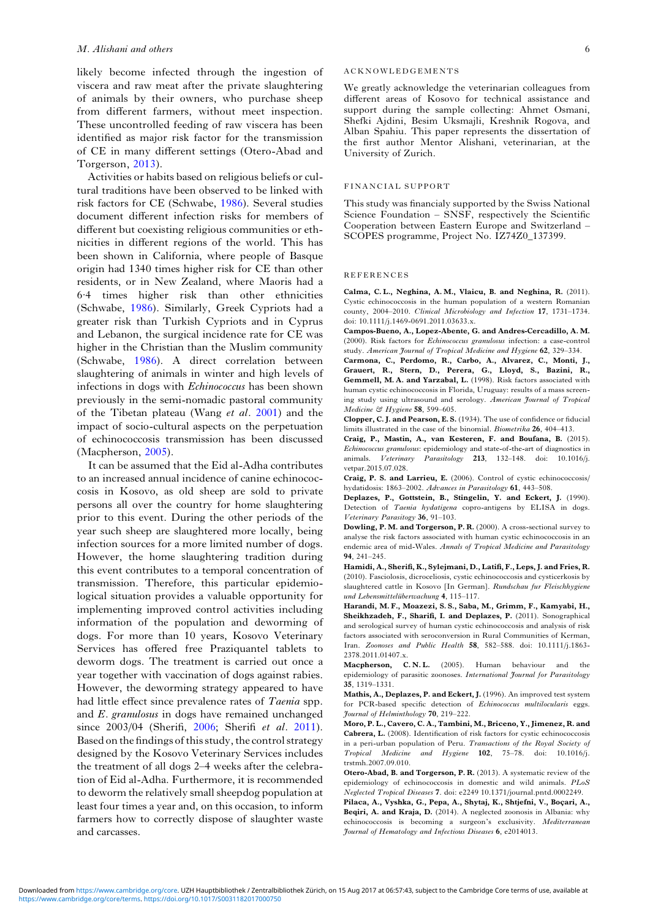<span id="page-5-0"></span>likely become infected through the ingestion of viscera and raw meat after the private slaughtering of animals by their owners, who purchase sheep from different farmers, without meet inspection. These uncontrolled feeding of raw viscera has been identified as major risk factor for the transmission of CE in many different settings (Otero-Abad and Torgerson, 2013).

Activities or habits based on religious beliefs or cultural traditions have been observed to be linked with risk factors for CE (Schwabe, [1986](#page-6-0)). Several studies document different infection risks for members of different but coexisting religious communities or ethnicities in different regions of the world. This has been shown in California, where people of Basque origin had 1340 times higher risk for CE than other residents, or in New Zealand, where Maoris had a 6·4 times higher risk than other ethnicities (Schwabe, [1986\)](#page-6-0). Similarly, Greek Cypriots had a greater risk than Turkish Cypriots and in Cyprus and Lebanon, the surgical incidence rate for CE was higher in the Christian than the Muslim community (Schwabe, [1986](#page-6-0)). A direct correlation between slaughtering of animals in winter and high levels of infections in dogs with Echinococcus has been shown previously in the semi-nomadic pastoral community of the Tibetan plateau (Wang et al. [2001\)](#page-6-0) and the impact of socio-cultural aspects on the perpetuation of echinococcosis transmission has been discussed (Macpherson, 2005).

It can be assumed that the Eid al-Adha contributes to an increased annual incidence of canine echinococcosis in Kosovo, as old sheep are sold to private persons all over the country for home slaughtering prior to this event. During the other periods of the year such sheep are slaughtered more locally, being infection sources for a more limited number of dogs. However, the home slaughtering tradition during this event contributes to a temporal concentration of transmission. Therefore, this particular epidemiological situation provides a valuable opportunity for implementing improved control activities including information of the population and deworming of dogs. For more than 10 years, Kosovo Veterinary Services has offered free Praziquantel tablets to deworm dogs. The treatment is carried out once a year together with vaccination of dogs against rabies. However, the deworming strategy appeared to have had little effect since prevalence rates of Taenia spp. and E. granulosus in dogs have remained unchanged since 2003/04 (Sherifi, [2006](#page-6-0); Sherifi et al. [2011\)](#page-6-0). Based on the findings of this study, the control strategy designed by the Kosovo Veterinary Services includes the treatment of all dogs 2–4 weeks after the celebration of Eid al-Adha. Furthermore, it is recommended to deworm the relatively small sheepdog population at least four times a year and, on this occasion, to inform farmers how to correctly dispose of slaughter waste and carcasses.

#### ACKNOWLEDGEMENTS

We greatly acknowledge the veterinarian colleagues from different areas of Kosovo for technical assistance and support during the sample collecting: Ahmet Osmani, Shefki Ajdini, Besim Uksmajli, Kreshnik Rogova, and Alban Spahiu. This paper represents the dissertation of the first author Mentor Alishani, veterinarian, at the University of Zurich.

#### FINANCIAL SUPPORT

This study was financialy supported by the Swiss National Science Foundation – SNSF, respectively the Scientific Cooperation between Eastern Europe and Switzerland – SCOPES programme, Project No. IZ74Z0\_137399.

#### REFERENCES

Calma, C. L., Neghina, A. M., Vlaicu, B. and Neghina, R. (2011). Cystic echinococcosis in the human population of a western Romanian county, 2004–2010. Clinical Microbiology and Infection 17, 1731–1734. doi: 10.1111/j.1469-0691.2011.03633.x.

Campos-Bueno, A., Lopez-Abente, G. and Andres-Cercadillo, A. M. (2000). Risk factors for Echinococcus granulosus infection: a case-control study. American Journal of Tropical Medicine and Hygiene 62, 329–334.

Carmona, C., Perdomo, R., Carbo, A., Alvarez, C., Monti, J., Grauert, R., Stern, D., Perera, G., Lloyd, S., Bazini, R., Gemmell, M. A. and Yarzabal, L. (1998). Risk factors associated with human cystic echinococcosis in Florida, Uruguay: results of a mass screening study using ultrasound and serology. American Journal of Tropical Medicine & Hygiene 58, 599-605.

Clopper, C. J. and Pearson, E. S. (1934). The use of confidence or fiducial limits illustrated in the case of the binomial. Biometrika 26, 404–413.

Craig, P., Mastin, A., van Kesteren, F. and Boufana, B. (2015). Echinococcus granulosus: epidemiology and state-of-the-art of diagnostics in animals. Veterinary Parasitology 213, 132–148. doi: 10.1016/j. vetpar.2015.07.028.

Craig, P. S. and Larrieu, E. (2006). Control of cystic echinococcosis/ hydatidosis: 1863–2002. Advances in Parasitology 61, 443–508.

Deplazes, P., Gottstein, B., Stingelin, Y. and Eckert, J. (1990). Detection of Taenia hydatigena copro-antigens by ELISA in dogs. Veterinary Parasitogy 36, 91–103.

Dowling, P. M. and Torgerson, P. R. (2000). A cross-sectional survey to analyse the risk factors associated with human cystic echinococcosis in an endemic area of mid-Wales. Annals of Tropical Medicine and Parasitology 94, 241–245.

Hamidi, A., Sherifi, K., Sylejmani, D., Latifi, F., Leps, J. and Fries, R. (2010). Fasciolosis, dicroceliosis, cystic echinococcosis and cysticerkosis by slaughtered cattle in Kosovo [In German]. Rundschau fur Fleischhygiene und Lebensmittelüberwachung 4, 115–117.

Harandi, M. F., Moazezi, S. S., Saba, M., Grimm, F., Kamyabi, H., Sheikhzadeh, F., Sharifi, I. and Deplazes, P. (2011). Sonographical and serological survey of human cystic echinococcosis and analysis of risk factors associated with seroconversion in Rural Communities of Kerman, Iran. Zoonoses and Public Health 58, 582–588. doi: 10.1111/j.1863- 2378.2011.01407.x.

Macpherson, C. N. L. (2005). Human behaviour and the epidemiology of parasitic zoonoses. International Journal for Parasitology 35, 1319–1331.

Mathis, A., Deplazes, P. and Eckert, J. (1996). An improved test system for PCR-based specific detection of Echinococcus multilocularis eggs. Journal of Helminthology 70, 219–222.

Moro, P. L., Cavero, C. A., Tambini, M., Briceno, Y., Jimenez, R. and Cabrera, L. (2008). Identification of risk factors for cystic echinococcosis in a peri-urban population of Peru. Transactions of the Royal Society of Tropical Medicine and Hygiene 102, 75–78. doi: 10.1016/j. trstmh.2007.09.010.

Otero-Abad, B. and Torgerson, P. R. (2013). A systematic review of the epidemiology of echinococcosis in domestic and wild animals. PLoS Neglected Tropical Diseases 7. doi: e2249 10.1371/journal.pntd.0002249.

Pilaca, A., Vyshka, G., Pepa, A., Shytaj, K., Shtjefni, V., Boçari, A., Beqiri, A. and Kraja, D. (2014). A neglected zoonosis in Albania: why echinococcosis is becoming a surgeon's exclusivity. Mediterranean Journal of Hematology and Infectious Diseases 6, e2014013.